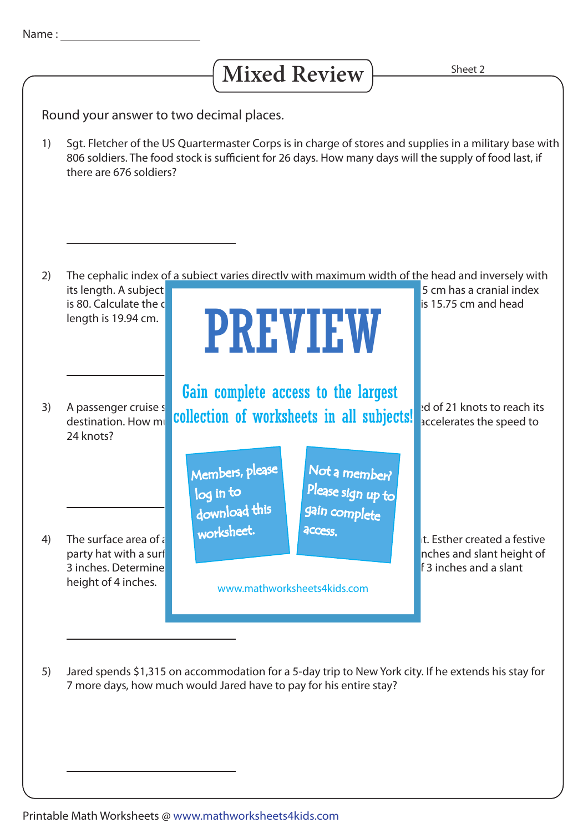## Mixed Review **Sheet 2**

Round your answer to two decimal places.

Sgt. Fletcher of the US Quartermaster Corps is in charge of stores and supplies in a military base with 806 soldiers. The food stock is sufficient for 26 days. How many days will the supply of food last, if there are 676 soldiers? 1)



Jared spends \$1,315 on accommodation for a 5-day trip to New York city. If he extends his stay for 7 more days, how much would Jared have to pay for his entire stay? 5)